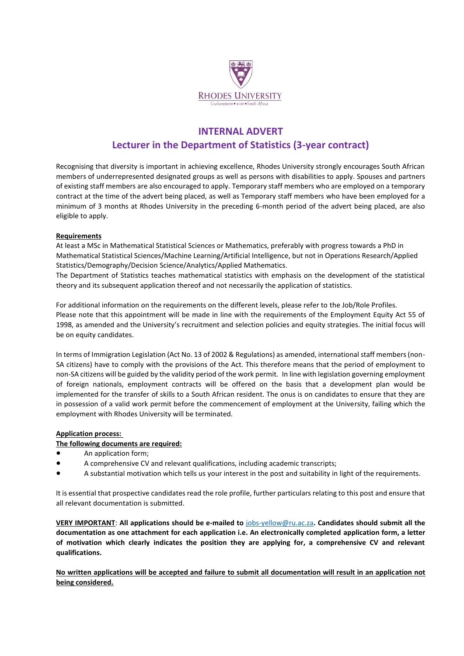

# **INTERNAL ADVERT Lecturer in the Department of Statistics (3-year contract)**

Recognising that diversity is important in achieving excellence, Rhodes University strongly encourages South African members of underrepresented designated groups as well as persons with disabilities to apply. Spouses and partners of existing staff members are also encouraged to apply. Temporary staff members who are employed on a temporary contract at the time of the advert being placed, as well as Temporary staff members who have been employed for a minimum of 3 months at Rhodes University in the preceding 6-month period of the advert being placed, are also eligible to apply.

### **Requirements**

At least a MSc in Mathematical Statistical Sciences or Mathematics, preferably with progress towards a PhD in Mathematical Statistical Sciences/Machine Learning/Artificial Intelligence, but not in Operations Research/Applied Statistics/Demography/Decision Science/Analytics/Applied Mathematics.

The Department of Statistics teaches mathematical statistics with emphasis on the development of the statistical theory and its subsequent application thereof and not necessarily the application of statistics.

For additional information on the requirements on the different levels, please refer to the Job/Role Profiles. Please note that this appointment will be made in line with the requirements of the Employment Equity Act 55 of 1998, as amended and the University's recruitment and selection policies and equity strategies. The initial focus will be on equity candidates.

In terms of Immigration Legislation (Act No. 13 of 2002 & Regulations) as amended, international staff members (non-SA citizens) have to comply with the provisions of the Act. This therefore means that the period of employment to non-SA citizens will be guided by the validity period of the work permit. In line with legislation governing employment of foreign nationals, employment contracts will be offered on the basis that a development plan would be implemented for the transfer of skills to a South African resident. The onus is on candidates to ensure that they are in possession of a valid work permit before the commencement of employment at the University, failing which the employment with Rhodes University will be terminated.

# **Application process:**

# **The following documents are required:**

- An application form;
- A comprehensive CV and relevant qualifications, including academic transcripts;
- A substantial motivation which tells us your interest in the post and suitability in light of the requirements.

It is essential that prospective candidates read the role profile, further particulars relating to this post and ensure that all relevant documentation is submitted.

**VERY IMPORTANT**: **All applications should be e-mailed to** [jobs-yellow@ru.ac.za](mailto:jobs-yellow@ru.ac.za)**. Candidates should submit all the documentation as one attachment for each application i.e. An electronically completed application form, a letter of motivation which clearly indicates the position they are applying for, a comprehensive CV and relevant qualifications.**

**No written applications will be accepted and failure to submit all documentation will result in an application not being considered.**